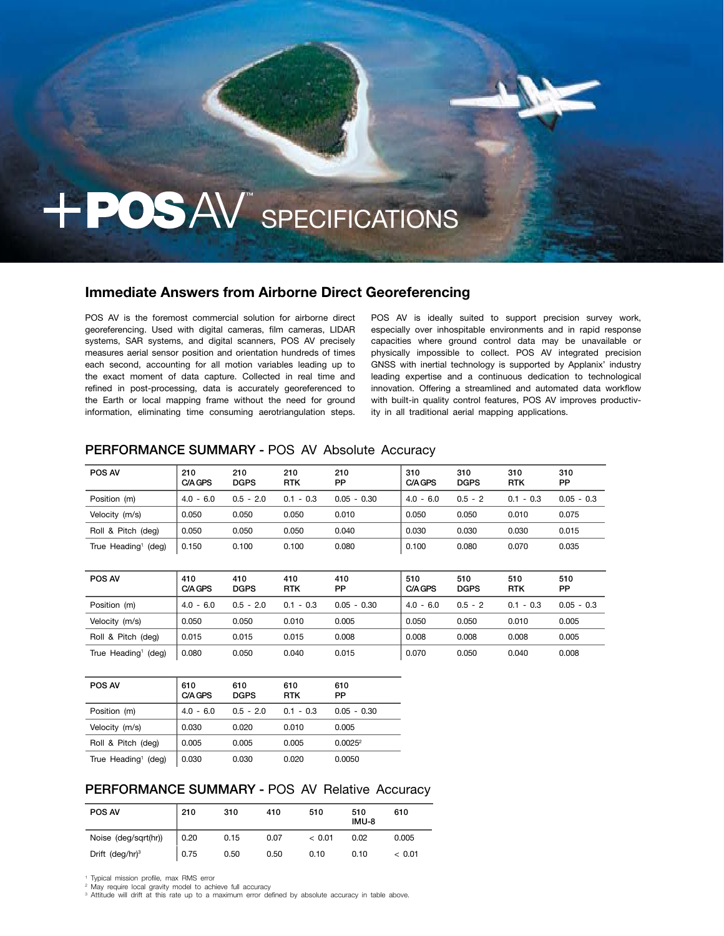# + POSAV SPECIFICATIONS

# **Immediate Answers from Airborne Direct Georeferencing**

POS AV is the foremost commercial solution for airborne direct georeferencing. Used with digital cameras, film cameras, LIDAR systems, SAR systems, and digital scanners, POS AV precisely measures aerial sensor position and orientation hundreds of times each second, accounting for all motion variables leading up to the exact moment of data capture. Collected in real time and refined in post-processing, data is accurately georeferenced to the Earth or local mapping frame without the need for ground information, eliminating time consuming aerotriangulation steps.

POS AV is ideally suited to support precision survey work, especially over inhospitable environments and in rapid response capacities where ground control data may be unavailable or physically impossible to collect. POS AV integrated precision GNSS with inertial technology is supported by Applanix' industry leading expertise and a continuous dedication to technological innovation. Offering a streamlined and automated data workflow with built-in quality control features, POS AV improves productivity in all traditional aerial mapping applications.

## PERFORMANCE SUMMARY - POS AV Absolute Accuracy

| POS AV                          | 210<br>C/A GPS | 210<br><b>DGPS</b> | 210<br><b>RTK</b> | 210<br>PP     | 310<br>C/A GPS | 310<br><b>DGPS</b> | 310<br><b>RTK</b> | 310<br><b>PP</b> |
|---------------------------------|----------------|--------------------|-------------------|---------------|----------------|--------------------|-------------------|------------------|
| Position (m)                    | $4.0 - 6.0$    | $0.5 - 2.0$        | $0.1 - 0.3$       | $0.05 - 0.30$ | $4.0 - 6.0$    | $0.5 - 2$          | $0.1 - 0.3$       | $0.05 - 0.3$     |
| Velocity (m/s)                  | 0.050          | 0.050              | 0.050             | 0.010         | 0.050          | 0.050              | 0.010             | 0.075            |
| Roll & Pitch (deg)              | 0.050          | 0.050              | 0.050             | 0.040         | 0.030          | 0.030              | 0.030             | 0.015            |
| True Heading <sup>1</sup> (deg) | 0.150          | 0.100              | 0.100             | 0.080         | 0.100          | 0.080              | 0.070             | 0.035            |
|                                 |                |                    |                   |               |                |                    |                   |                  |
| <b>POS AV</b>                   | 410<br>C/A GPS | 410<br><b>DGPS</b> | 410<br><b>RTK</b> | 410<br>PP     | 510<br>C/A GPS | 510<br><b>DGPS</b> | 510<br><b>RTK</b> | 510<br><b>PP</b> |
| Position (m)                    | $4.0 - 6.0$    | $0.5 - 2.0$        | $0.1 - 0.3$       | $0.05 - 0.30$ | $4.0 - 6.0$    | $0.5 - 2$          | $0.1 - 0.3$       | $0.05 - 0.3$     |

| Position (m)                    | $4.0 - 6.0$ | $0.5 - 2.0$ | $0.1 - 0.3$ | $0.05 - 0.30$ | $4.0 - 6.0$ | $0.5 - 2$ | $0.1 - 0.3$ | $0.05 - 0.3$ |
|---------------------------------|-------------|-------------|-------------|---------------|-------------|-----------|-------------|--------------|
| Velocity (m/s)                  | 0.050       | 0.050       | 0.010       | 0.005         | 0.050       | 0.050     | 0.010       | 0.005        |
| Roll & Pitch (deg)              | 0.015       | 0.015       | 0.015       | 0.008         | 0.008       | 0.008     | 0.008       | 0.005        |
| True Heading <sup>1</sup> (deg) | 0.080       | 0.050       | 0.040       | 0.015         | 0.070       | 0.050     | 0.040       | 0.008        |

| POS AV                          | 610<br>C/A GPS | 610<br><b>DGPS</b> | 610<br><b>RTK</b> | 610<br>PP           |
|---------------------------------|----------------|--------------------|-------------------|---------------------|
| Position (m)                    | $4.0 - 6.0$    | $0.5 - 2.0$        | $0.1 - 0.3$       | $0.05 - 0.30$       |
| Velocity (m/s)                  | 0.030          | 0.020              | 0.010             | 0.005               |
| Roll & Pitch (deg)              | 0.005          | 0.005              | 0.005             | 0.0025 <sup>2</sup> |
| True Heading <sup>1</sup> (deg) | 0.030          | 0.030              | 0.020             | 0.0050              |

## PERFORMANCE SUMMARY - POS AV Relative Accuracy

| <b>POS AV</b>        | 210  | 310  | 410  | 510     | 510<br>IMU-8 | 610    |
|----------------------|------|------|------|---------|--------------|--------|
| Noise (deg/sqrt(hr)) | 0.20 | 0.15 | 0.07 | ~< 0.01 | 0.02         | 0.005  |
| Drift $(deg/hr)^3$   | 0.75 | 0.50 | 0.50 | 0.10    | 0.10         | < 0.01 |

1 Typical mission profile, max RMS error 2 May require local gravity model to achieve full accuracy

3 Attitude will drift at this rate up to a maximum error defined by absolute accuracy in table above.